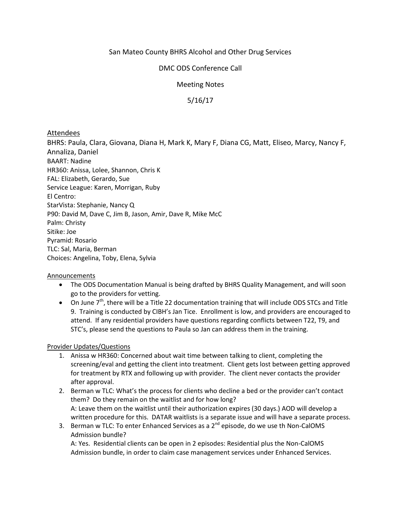# San Mateo County BHRS Alcohol and Other Drug Services

# DMC ODS Conference Call

# Meeting Notes

# 5/16/17

### Attendees

BHRS: Paula, Clara, Giovana, Diana H, Mark K, Mary F, Diana CG, Matt, Eliseo, Marcy, Nancy F, Annaliza, Daniel BAART: Nadine HR360: Anissa, Lolee, Shannon, Chris K FAL: Elizabeth, Gerardo, Sue Service League: Karen, Morrigan, Ruby El Centro: StarVista: Stephanie, Nancy Q P90: David M, Dave C, Jim B, Jason, Amir, Dave R, Mike McC Palm: Christy Sitike: Joe Pyramid: Rosario TLC: Sal, Maria, Berman Choices: Angelina, Toby, Elena, Sylvia

#### Announcements

- The ODS Documentation Manual is being drafted by BHRS Quality Management, and will soon go to the providers for vetting.
- On June 7<sup>th</sup>, there will be a Title 22 documentation training that will include ODS STCs and Title 9. Training is conducted by CIBH's Jan Tice. Enrollment is low, and providers are encouraged to attend. If any residential providers have questions regarding conflicts between T22, T9, and STC's, please send the questions to Paula so Jan can address them in the training.

#### Provider Updates/Questions

- 1. Anissa w HR360: Concerned about wait time between talking to client, completing the screening/eval and getting the client into treatment. Client gets lost between getting approved for treatment by RTX and following up with provider. The client never contacts the provider after approval.
- 2. Berman w TLC: What's the process for clients who decline a bed or the provider can't contact them? Do they remain on the waitlist and for how long? A: Leave them on the waitlist until their authorization expires (30 days.) AOD will develop a written procedure for this. DATAR waitlists is a separate issue and will have a separate process.
- 3. Berman w TLC: To enter Enhanced Services as a  $2^{nd}$  episode, do we use th Non-CalOMS Admission bundle?

A: Yes. Residential clients can be open in 2 episodes: Residential plus the Non-CalOMS Admission bundle, in order to claim case management services under Enhanced Services.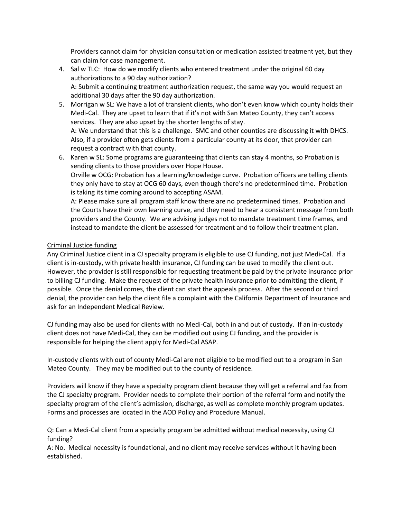Providers cannot claim for physician consultation or medication assisted treatment yet, but they can claim for case management.

- 4. Sal w TLC: How do we modify clients who entered treatment under the original 60 day authorizations to a 90 day authorization? A: Submit a continuing treatment authorization request, the same way you would request an additional 30 days after the 90 day authorization.
- 5. Morrigan w SL: We have a lot of transient clients, who don't even know which county holds their Medi-Cal. They are upset to learn that if it's not with San Mateo County, they can't access services. They are also upset by the shorter lengths of stay. A: We understand that this is a challenge. SMC and other counties are discussing it with DHCS.

Also, if a provider often gets clients from a particular county at its door, that provider can request a contract with that county.

6. Karen w SL: Some programs are guaranteeing that clients can stay 4 months, so Probation is sending clients to those providers over Hope House.

Orville w OCG: Probation has a learning/knowledge curve. Probation officers are telling clients they only have to stay at OCG 60 days, even though there's no predetermined time. Probation is taking its time coming around to accepting ASAM.

A: Please make sure all program staff know there are no predetermined times. Probation and the Courts have their own learning curve, and they need to hear a consistent message from both providers and the County. We are advising judges not to mandate treatment time frames, and instead to mandate the client be assessed for treatment and to follow their treatment plan.

## Criminal Justice funding

Any Criminal Justice client in a CJ specialty program is eligible to use CJ funding, not just Medi-Cal. If a client is in-custody, with private health insurance, CJ funding can be used to modify the client out. However, the provider is still responsible for requesting treatment be paid by the private insurance prior to billing CJ funding. Make the request of the private health insurance prior to admitting the client, if possible. Once the denial comes, the client can start the appeals process. After the second or third denial, the provider can help the client file a complaint with the California Department of Insurance and ask for an Independent Medical Review.

CJ funding may also be used for clients with no Medi-Cal, both in and out of custody. If an in-custody client does not have Medi-Cal, they can be modified out using CJ funding, and the provider is responsible for helping the client apply for Medi-Cal ASAP.

In-custody clients with out of county Medi-Cal are not eligible to be modified out to a program in San Mateo County. They may be modified out to the county of residence.

Providers will know if they have a specialty program client because they will get a referral and fax from the CJ specialty program. Provider needs to complete their portion of the referral form and notify the specialty program of the client's admission, discharge, as well as complete monthly program updates. Forms and processes are located in the AOD Policy and Procedure Manual.

Q: Can a Medi-Cal client from a specialty program be admitted without medical necessity, using CJ funding?

A: No. Medical necessity is foundational, and no client may receive services without it having been established.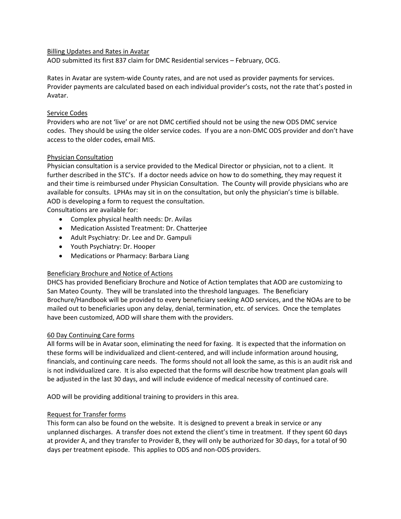#### Billing Updates and Rates in Avatar

AOD submitted its first 837 claim for DMC Residential services – February, OCG.

Rates in Avatar are system-wide County rates, and are not used as provider payments for services. Provider payments are calculated based on each individual provider's costs, not the rate that's posted in Avatar.

#### Service Codes

Providers who are not 'live' or are not DMC certified should not be using the new ODS DMC service codes. They should be using the older service codes. If you are a non-DMC ODS provider and don't have access to the older codes, email MIS.

#### Physician Consultation

Physician consultation is a service provided to the Medical Director or physician, not to a client. It further described in the STC's. If a doctor needs advice on how to do something, they may request it and their time is reimbursed under Physician Consultation. The County will provide physicians who are available for consults. LPHAs may sit in on the consultation, but only the physician's time is billable. AOD is developing a form to request the consultation.

Consultations are available for:

- Complex physical health needs: Dr. Avilas
- Medication Assisted Treatment: Dr. Chatterjee
- Adult Psychiatry: Dr. Lee and Dr. Gampuli
- Youth Psychiatry: Dr. Hooper
- Medications or Pharmacy: Barbara Liang

#### Beneficiary Brochure and Notice of Actions

DHCS has provided Beneficiary Brochure and Notice of Action templates that AOD are customizing to San Mateo County. They will be translated into the threshold languages. The Beneficiary Brochure/Handbook will be provided to every beneficiary seeking AOD services, and the NOAs are to be mailed out to beneficiaries upon any delay, denial, termination, etc. of services. Once the templates have been customized, AOD will share them with the providers.

#### 60 Day Continuing Care forms

All forms will be in Avatar soon, eliminating the need for faxing. It is expected that the information on these forms will be individualized and client-centered, and will include information around housing, financials, and continuing care needs. The forms should not all look the same, as this is an audit risk and is not individualized care. It is also expected that the forms will describe how treatment plan goals will be adjusted in the last 30 days, and will include evidence of medical necessity of continued care.

AOD will be providing additional training to providers in this area.

#### Request for Transfer forms

This form can also be found on the website. It is designed to prevent a break in service or any unplanned discharges. A transfer does not extend the client's time in treatment. If they spent 60 days at provider A, and they transfer to Provider B, they will only be authorized for 30 days, for a total of 90 days per treatment episode. This applies to ODS and non-ODS providers.